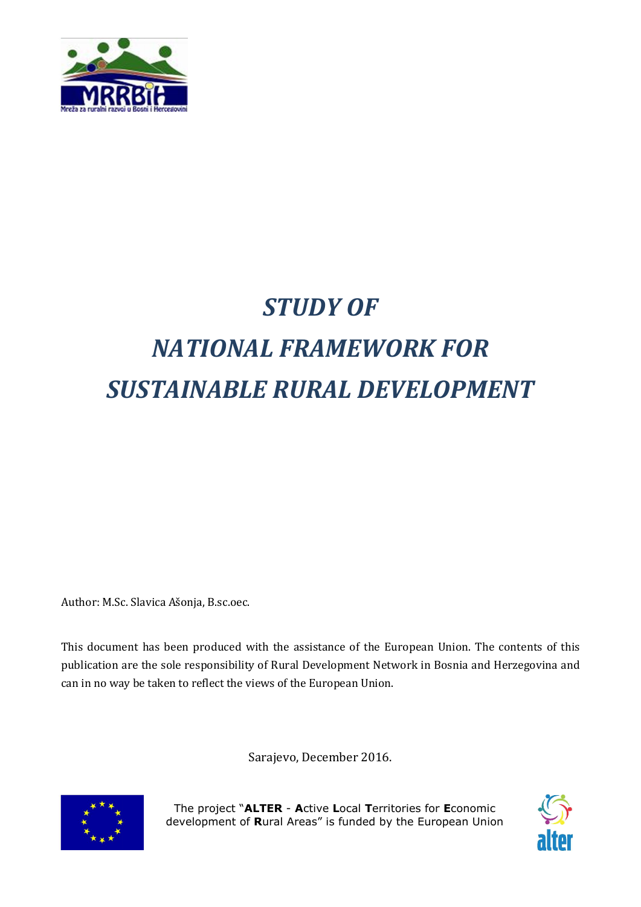

## *STUDY OF*

# *NATIONAL FRAMEWORK FOR SUSTAINABLE RURAL DEVELOPMENT*

Author: M.Sc. Slavica Ašonja, B.sc.oec.

This document has been produced with the assistance of the European Union. The contents of this publication are the sole responsibility of Rural Development Network in Bosnia and Herzegovina and can in no way be taken to reflect the views of the European Union.

Sarajevo, December 2016.



The project "ALTER - Active Local Territories for Economic development of Rural Areas" is funded by the European Union

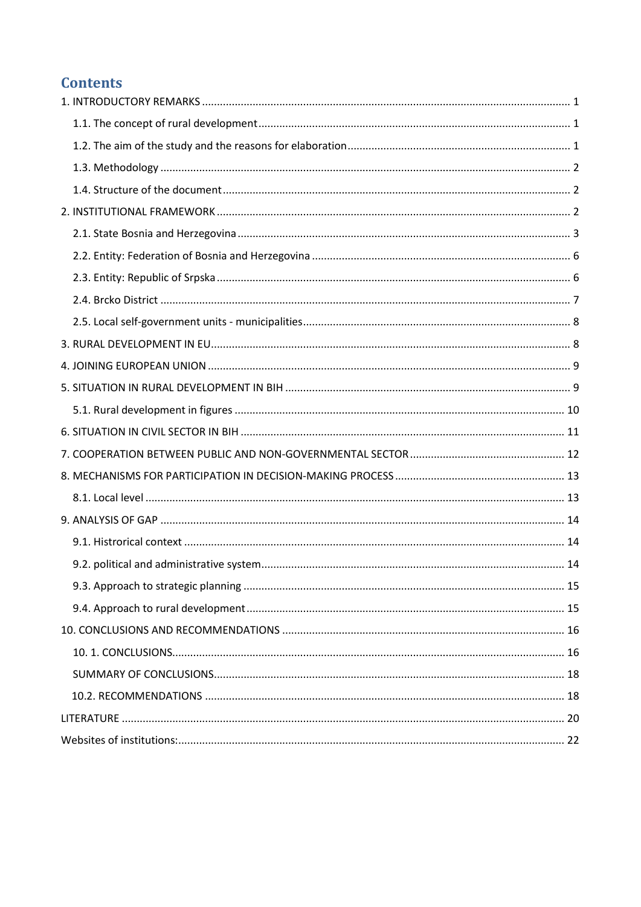## **Contents**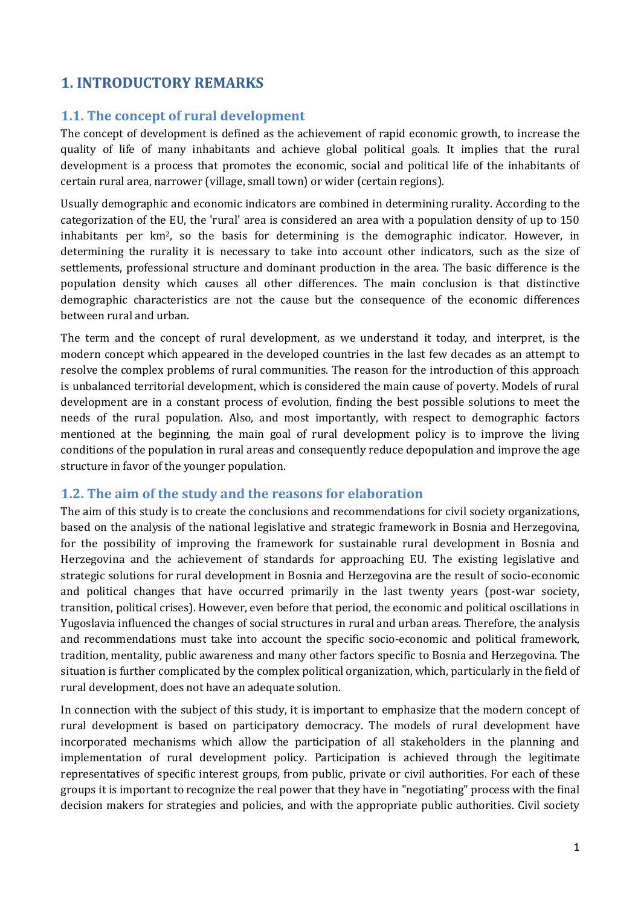## 1. INTRODUCTORY REMARKS

#### 1.1. The concept of rural development

The concept of development is defined as the achievement of rapid economic growth, to increase the quality of life of many inhabitants and achieve global political goals. It implies that the rural development is a process that promotes the economic, social and political life of the inhabitants of certain rural area, narrower (village, small town) or wider (certain regions).

Usually demographic and economic indicators are combined in determining rurality. According to the categorization of the EU, the 'rural' area is considered an area with a population density of up to 150 inhabitants per  $km^2$ , so the basis for determining is the demographic indicator. However, in determining the rurality it is necessary to take into account other indicators, such as the size of settlements, professional structure and dominant production in the area. The basic difference is the population density which causes all other differences. The main conclusion is that distinctive demographic characteristics are not the cause but the consequence of the economic differences between rural and urban.

The term and the concept of rural development, as we understand it today, and interpret, is the modern concept which appeared in the developed countries in the last few decades as an attempt to resolve the complex problems of rural communities. The reason for the introduction of this approach is unbalanced territorial development, which is considered the main cause of poverty. Models of rural development are in a constant process of evolution, finding the best possible solutions to meet the needs of the rural population. Also, and most importantly, with respect to demographic factors mentioned at the beginning, the main goal of rural development policy is to improve the living conditions of the population in rural areas and consequently reduce depopulation and improve the age structure in favor of the younger population.

#### 1.2. The aim of the study and the reasons for elaboration

The aim of this study is to create the conclusions and recommendations for civil society organizations, based on the analysis of the national legislative and strategic framework in Bosnia and Herzegovina, for the possibility of improving the framework for sustainable rural development in Bosnia and Herzegovina and the achievement of standards for approaching EU. The existing legislative and strategic solutions for rural development in Bosnia and Herzegovina are the result of socio-economic and political changes that have occurred primarily in the last twenty years (post-war society, transition, political crises). However, even before that period, the economic and political oscillations in Yugoslavia influenced the changes of social structures in rural and urban areas. Therefore, the analysis and recommendations must take into account the specific socio-economic and political framework, tradition, mentality, public awareness and many other factors specific to Bosnia and Herzegovina. The situation is further complicated by the complex political organization, which, particularly in the field of rural development, does not have an adequate solution.

In connection with the subject of this study, it is important to emphasize that the modern concept of rural development is based on participatory democracy. The models of rural development have incorporated mechanisms which allow the participation of all stakeholders in the planning and implementation of rural development policy. Participation is achieved through the legitimate representatives of specific interest groups, from public, private or civil authorities. For each of these groups it is important to recognize the real power that they have in "negotiating" process with the final decision makers for strategies and policies, and with the appropriate public authorities. Civil society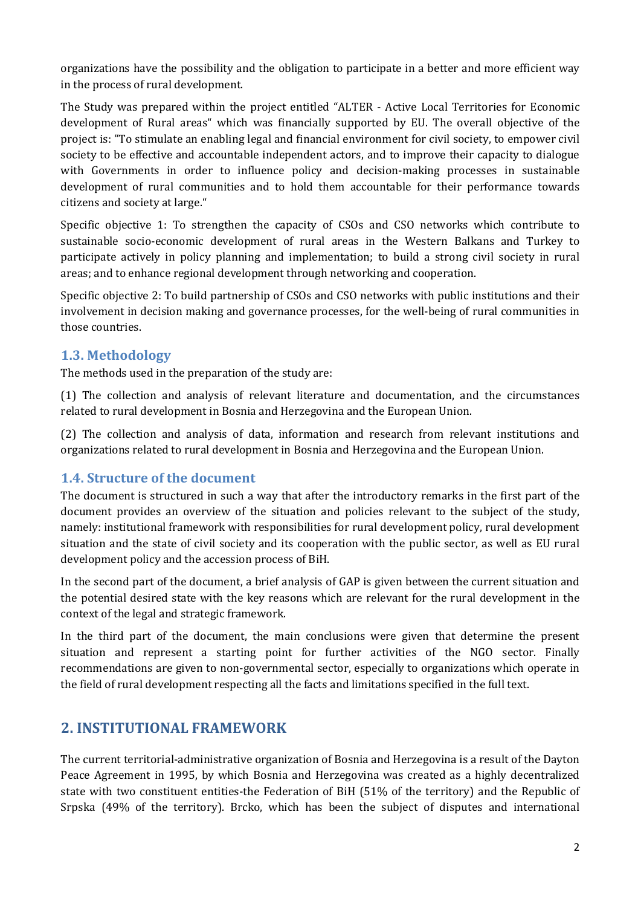organizations have the possibility and the obligation to participate in a better and more efficient way in the process of rural development.

The Study was prepared within the project entitled "ALTER - Active Local Territories for Economic development of Rural areas" which was financially supported by EU. The overall objective of the project is: "To stimulate an enabling legal and financial environment for civil society, to empower civil society to be effective and accountable independent actors, and to improve their capacity to dialogue with Governments in order to influence policy and decision-making processes in sustainable development of rural communities and to hold them accountable for their performance towards citizens and society at large."

Specific objective 1: To strengthen the capacity of CSOs and CSO networks which contribute to sustainable socio-economic development of rural areas in the Western Balkans and Turkey to participate actively in policy planning and implementation; to build a strong civil society in rural areas; and to enhance regional development through networking and cooperation.

Specific objective 2: To build partnership of CSOs and CSO networks with public institutions and their involvement in decision making and governance processes, for the well-being of rural communities in those countries.

#### 1.3. Methodology

The methods used in the preparation of the study are:

(1) The collection and analysis of relevant literature and documentation, and the circumstances related to rural development in Bosnia and Herzegovina and the European Union.

(2) The collection and analysis of data, information and research from relevant institutions and organizations related to rural development in Bosnia and Herzegovina and the European Union.

#### 1.4. Structure of the document

The document is structured in such a way that after the introductory remarks in the first part of the document provides an overview of the situation and policies relevant to the subject of the study, namely: institutional framework with responsibilities for rural development policy, rural development situation and the state of civil society and its cooperation with the public sector, as well as EU rural development policy and the accession process of BiH.

In the second part of the document, a brief analysis of GAP is given between the current situation and the potential desired state with the key reasons which are relevant for the rural development in the context of the legal and strategic framework.

In the third part of the document, the main conclusions were given that determine the present situation and represent a starting point for further activities of the NGO sector. Finally recommendations are given to non-governmental sector, especially to organizations which operate in the field of rural development respecting all the facts and limitations specified in the full text.

## 2. INSTITUTIONAL FRAMEWORK

The current territorial-administrative organization of Bosnia and Herzegovina is a result of the Dayton Peace Agreement in 1995, by which Bosnia and Herzegovina was created as a highly decentralized state with two constituent entities-the Federation of BiH (51% of the territory) and the Republic of Srpska (49% of the territory). Brcko, which has been the subject of disputes and international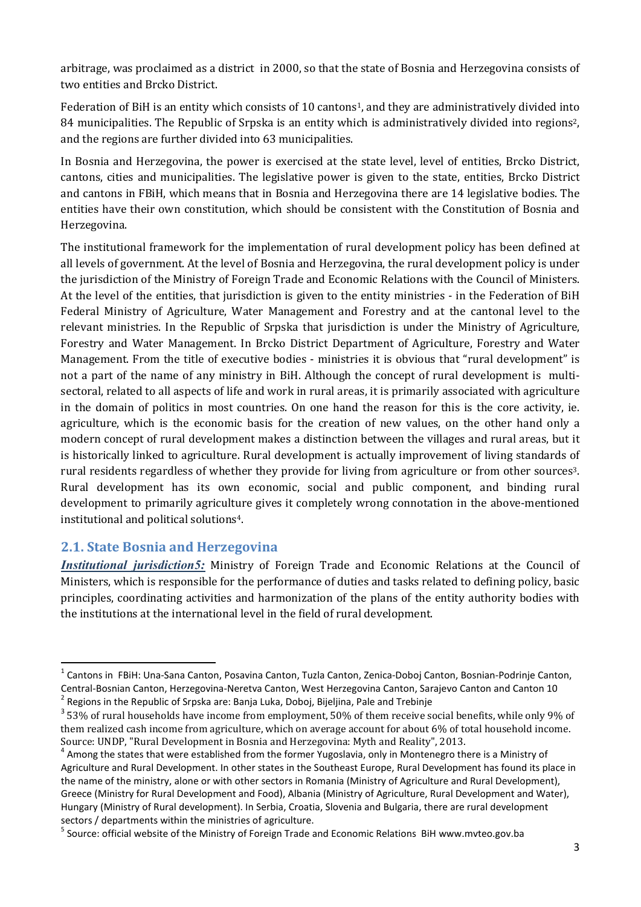arbitrage, was proclaimed as a district in 2000, so that the state of Bosnia and Herzegovina consists of two entities and Brcko District.

Federation of BiH is an entity which consists of 10 cantons<sup>1</sup>, and they are administratively divided into 84 municipalities. The Republic of Srpska is an entity which is administratively divided into regions<sup>2</sup>, and the regions are further divided into 63 municipalities.

In Bosnia and Herzegovina, the power is exercised at the state level, level of entities, Brcko District, cantons, cities and municipalities. The legislative power is given to the state, entities, Brcko District and cantons in FBiH, which means that in Bosnia and Herzegovina there are 14 legislative bodies. The entities have their own constitution, which should be consistent with the Constitution of Bosnia and Herzegovina.

The institutional framework for the implementation of rural development policy has been defined at all levels of government. At the level of Bosnia and Herzegovina, the rural development policy is under the jurisdiction of the Ministry of Foreign Trade and Economic Relations with the Council of Ministers. At the level of the entities, that jurisdiction is given to the entity ministries - in the Federation of BiH Federal Ministry of Agriculture, Water Management and Forestry and at the cantonal level to the relevant ministries. In the Republic of Srpska that jurisdiction is under the Ministry of Agriculture, Forestry and Water Management. In Brcko District Department of Agriculture, Forestry and Water Management. From the title of executive bodies - ministries it is obvious that "rural development" is not a part of the name of any ministry in BiH. Although the concept of rural development is multisectoral, related to all aspects of life and work in rural areas, it is primarily associated with agriculture in the domain of politics in most countries. On one hand the reason for this is the core activity, ie. agriculture, which is the economic basis for the creation of new values, on the other hand only a modern concept of rural development makes a distinction between the villages and rural areas, but it is historically linked to agriculture. Rural development is actually improvement of living standards of rural residents regardless of whether they provide for living from agriculture or from other sources3. Rural development has its own economic, social and public component, and binding rural development to primarily agriculture gives it completely wrong connotation in the above-mentioned institutional and political solutions4.

#### 2.1. State Bosnia and Herzegovina

*Institutional jurisdiction5:* Ministry of Foreign Trade and Economic Relations at the Council of Ministers, which is responsible for the performance of duties and tasks related to defining policy, basic principles, coordinating activities and harmonization of the plans of the entity authority bodies with the institutions at the international level in the field of rural development.

 <sup>1</sup> Cantons in FBiH: Una-Sana Canton, Posavina Canton, Tuzla Canton, Zenica-Doboj Canton, Bosnian-Podrinje Canton, Central-Bosnian Canton, Herzegovina-Neretva Canton, West Herzegovina Canton, Sarajevo Canton and Canton 10 <sup>2</sup> Regions in the Republic of Srpska are: Banja Luka, Doboj, Bijeljina, Pale and Trebinje

 $3$  53% of rural households have income from employment, 50% of them receive social benefits, while only 9% of them realized cash income from agriculture, which on average account for about 6% of total household income. Source: UNDP, "Rural Development in Bosnia and Herzegovina: Myth and Reality", 2013.

<sup>&</sup>lt;sup>4</sup> Among the states that were established from the former Yugoslavia, only in Montenegro there is a Ministry of Agriculture and Rural Development. In other states in the Southeast Europe, Rural Development has found its place in the name of the ministry, alone or with other sectors in Romania (Ministry of Agriculture and Rural Development), Greece (Ministry for Rural Development and Food), Albania (Ministry of Agriculture, Rural Development and Water), Hungary (Ministry of Rural development). In Serbia, Croatia, Slovenia and Bulgaria, there are rural development

sectors / departments within the ministries of agriculture.<br><sup>5</sup> Source: official website of the Ministry of Foreign Trade and Economic Relations BiH www.mvteo.gov.ba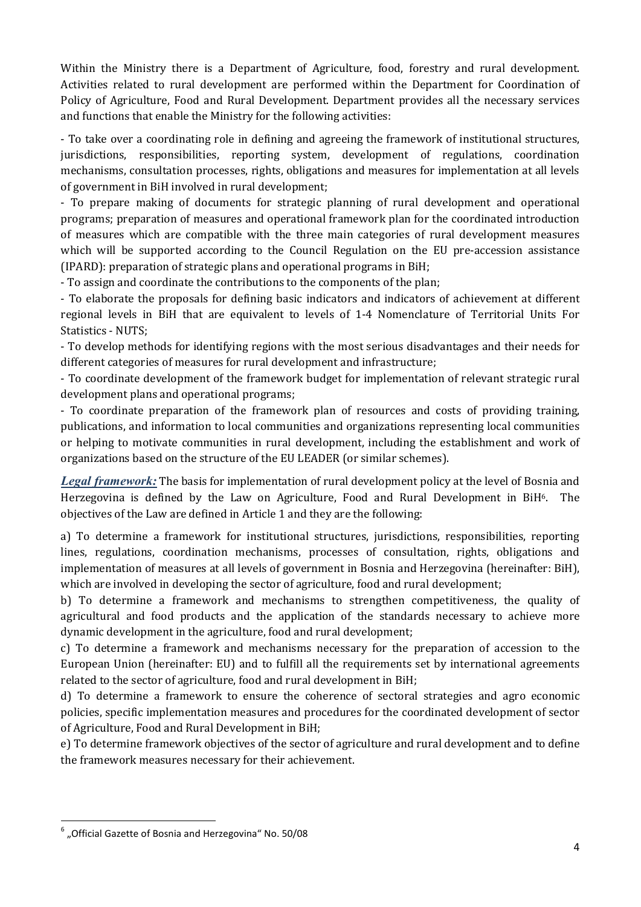Within the Ministry there is a Department of Agriculture, food, forestry and rural development. Activities related to rural development are performed within the Department for Coordination of Policy of Agriculture, Food and Rural Development. Department provides all the necessary services and functions that enable the Ministry for the following activities:

- To take over a coordinating role in defining and agreeing the framework of institutional structures, jurisdictions, responsibilities, reporting system, development of regulations, coordination mechanisms, consultation processes, rights, obligations and measures for implementation at all levels of government in BiH involved in rural development;

- To prepare making of documents for strategic planning of rural development and operational programs; preparation of measures and operational framework plan for the coordinated introduction of measures which are compatible with the three main categories of rural development measures which will be supported according to the Council Regulation on the EU pre-accession assistance (IPARD): preparation of strategic plans and operational programs in BiH;

- To assign and coordinate the contributions to the components of the plan;

- To elaborate the proposals for defining basic indicators and indicators of achievement at different regional levels in BiH that are equivalent to levels of 1-4 Nomenclature of Territorial Units For Statistics - NUTS;

- To develop methods for identifying regions with the most serious disadvantages and their needs for different categories of measures for rural development and infrastructure;

- To coordinate development of the framework budget for implementation of relevant strategic rural development plans and operational programs;

- To coordinate preparation of the framework plan of resources and costs of providing training, publications, and information to local communities and organizations representing local communities or helping to motivate communities in rural development, including the establishment and work of organizations based on the structure of the EU LEADER (or similar schemes).

*Legal framework:* The basis for implementation of rural development policy at the level of Bosnia and Herzegovina is defined by the Law on Agriculture, Food and Rural Development in BiH6. The objectives of the Law are defined in Article 1 and they are the following:

a) To determine a framework for institutional structures, jurisdictions, responsibilities, reporting lines, regulations, coordination mechanisms, processes of consultation, rights, obligations and implementation of measures at all levels of government in Bosnia and Herzegovina (hereinafter: BiH), which are involved in developing the sector of agriculture, food and rural development;

b) To determine a framework and mechanisms to strengthen competitiveness, the quality of agricultural and food products and the application of the standards necessary to achieve more dynamic development in the agriculture, food and rural development;

c) To determine a framework and mechanisms necessary for the preparation of accession to the European Union (hereinafter: EU) and to fulfill all the requirements set by international agreements related to the sector of agriculture, food and rural development in BiH;

d) To determine a framework to ensure the coherence of sectoral strategies and agro economic policies, specific implementation measures and procedures for the coordinated development of sector of Agriculture, Food and Rural Development in BiH;

e) To determine framework objectives of the sector of agriculture and rural development and to define the framework measures necessary for their achievement.

 $^6$  "Official Gazette of Bosnia and Herzegovina" No. 50/08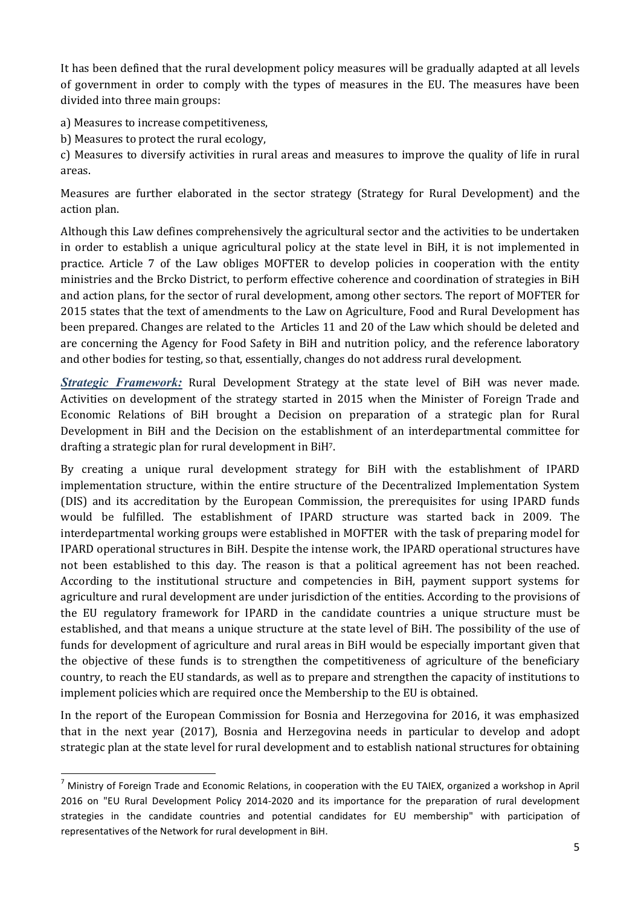It has been defined that the rural development policy measures will be gradually adapted at all levels of government in order to comply with the types of measures in the EU. The measures have been divided into three main groups:

a) Measures to increase competitiveness,

b) Measures to protect the rural ecology,

c) Measures to diversify activities in rural areas and measures to improve the quality of life in rural areas.

Measures are further elaborated in the sector strategy (Strategy for Rural Development) and the action plan.

Although this Law defines comprehensively the agricultural sector and the activities to be undertaken in order to establish a unique agricultural policy at the state level in BiH, it is not implemented in practice. Article 7 of the Law obliges MOFTER to develop policies in cooperation with the entity ministries and the Brcko District, to perform effective coherence and coordination of strategies in BiH and action plans, for the sector of rural development, among other sectors. The report of MOFTER for 2015 states that the text of amendments to the Law on Agriculture, Food and Rural Development has been prepared. Changes are related to the Articles 11 and 20 of the Law which should be deleted and are concerning the Agency for Food Safety in BiH and nutrition policy, and the reference laboratory and other bodies for testing, so that, essentially, changes do not address rural development.

*Strategic Framework:* Rural Development Strategy at the state level of BiH was never made. Activities on development of the strategy started in 2015 when the Minister of Foreign Trade and Economic Relations of BiH brought a Decision on preparation of a strategic plan for Rural Development in BiH and the Decision on the establishment of an interdepartmental committee for drafting a strategic plan for rural development in BiH7.

By creating a unique rural development strategy for BiH with the establishment of IPARD implementation structure, within the entire structure of the Decentralized Implementation System (DIS) and its accreditation by the European Commission, the prerequisites for using IPARD funds would be fulfilled. The establishment of IPARD structure was started back in 2009. The interdepartmental working groups were established in MOFTER with the task of preparing model for IPARD operational structures in BiH. Despite the intense work, the IPARD operational structures have not been established to this day. The reason is that a political agreement has not been reached. According to the institutional structure and competencies in BiH, payment support systems for agriculture and rural development are under jurisdiction of the entities. According to the provisions of the EU regulatory framework for IPARD in the candidate countries a unique structure must be established, and that means a unique structure at the state level of BiH. The possibility of the use of funds for development of agriculture and rural areas in BiH would be especially important given that the objective of these funds is to strengthen the competitiveness of agriculture of the beneficiary country, to reach the EU standards, as well as to prepare and strengthen the capacity of institutions to implement policies which are required once the Membership to the EU is obtained.

In the report of the European Commission for Bosnia and Herzegovina for 2016, it was emphasized that in the next year (2017), Bosnia and Herzegovina needs in particular to develop and adopt strategic plan at the state level for rural development and to establish national structures for obtaining

 $<sup>7</sup>$  Ministry of Foreign Trade and Economic Relations, in cooperation with the EU TAIEX, organized a workshop in April</sup> 2016 on "EU Rural Development Policy 2014-2020 and its importance for the preparation of rural development strategies in the candidate countries and potential candidates for EU membership" with participation of representatives of the Network for rural development in BiH.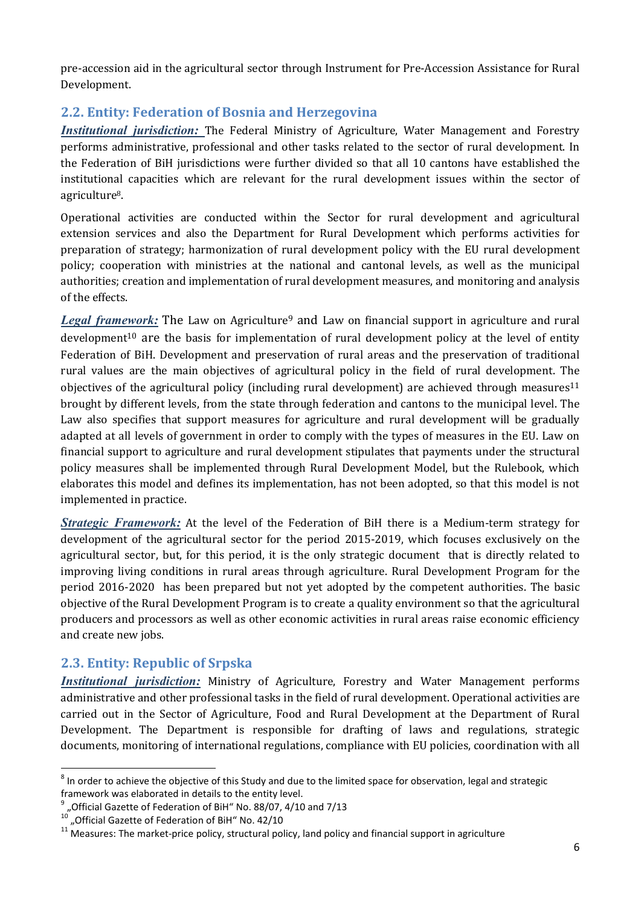pre-accession aid in the agricultural sector through Instrument for Pre-Accession Assistance for Rural Development.

#### 2.2. Entity: Federation of Bosnia and Herzegovina

*Institutional jurisdiction:* The Federal Ministry of Agriculture, Water Management and Forestry performs administrative, professional and other tasks related to the sector of rural development. In the Federation of BiH jurisdictions were further divided so that all 10 cantons have established the institutional capacities which are relevant for the rural development issues within the sector of agriculture8.

Operational activities are conducted within the Sector for rural development and agricultural extension services and also the Department for Rural Development which performs activities for preparation of strategy; harmonization of rural development policy with the EU rural development policy; cooperation with ministries at the national and cantonal levels, as well as the municipal authorities; creation and implementation of rural development measures, and monitoring and analysis of the effects.

Legal framework: The Law on Agriculture<sup>9</sup> and Law on financial support in agriculture and rural development<sup>10</sup> are the basis for implementation of rural development policy at the level of entity Federation of BiH. Development and preservation of rural areas and the preservation of traditional rural values are the main objectives of agricultural policy in the field of rural development. The objectives of the agricultural policy (including rural development) are achieved through measures<sup>11</sup> brought by different levels, from the state through federation and cantons to the municipal level. The Law also specifies that support measures for agriculture and rural development will be gradually adapted at all levels of government in order to comply with the types of measures in the EU. Law on financial support to agriculture and rural development stipulates that payments under the structural policy measures shall be implemented through Rural Development Model, but the Rulebook, which elaborates this model and defines its implementation, has not been adopted, so that this model is not implemented in practice.

*Strategic Framework:* At the level of the Federation of BiH there is a Medium-term strategy for development of the agricultural sector for the period 2015-2019, which focuses exclusively on the agricultural sector, but, for this period, it is the only strategic document that is directly related to improving living conditions in rural areas through agriculture. Rural Development Program for the period 2016-2020 has been prepared but not yet adopted by the competent authorities. The basic objective of the Rural Development Program is to create a quality environment so that the agricultural producers and processors as well as other economic activities in rural areas raise economic efficiency and create new jobs.

## 2.3. Entity: Republic of Srpska

*Institutional jurisdiction:* Ministry of Agriculture, Forestry and Water Management performs administrative and other professional tasks in the field of rural development. Operational activities are carried out in the Sector of Agriculture, Food and Rural Development at the Department of Rural Development. The Department is responsible for drafting of laws and regulations, strategic documents, monitoring of international regulations, compliance with EU policies, coordination with all

 $8$  In order to achieve the objective of this Study and due to the limited space for observation, legal and strategic framework was elaborated in details to the entity level.<br><sup>9</sup> , Official Gazette of Federation of BiH" No. 88/07, 4/10 and 7/13<br><sup>10</sup> Official Gaze ii and results

<sup>&</sup>lt;sup>10</sup> "Official Gazette of Federation of BiH" No. 42/10<br><sup>11</sup> Measures: The market-price policy, structural policy, land policy and financial support in agriculture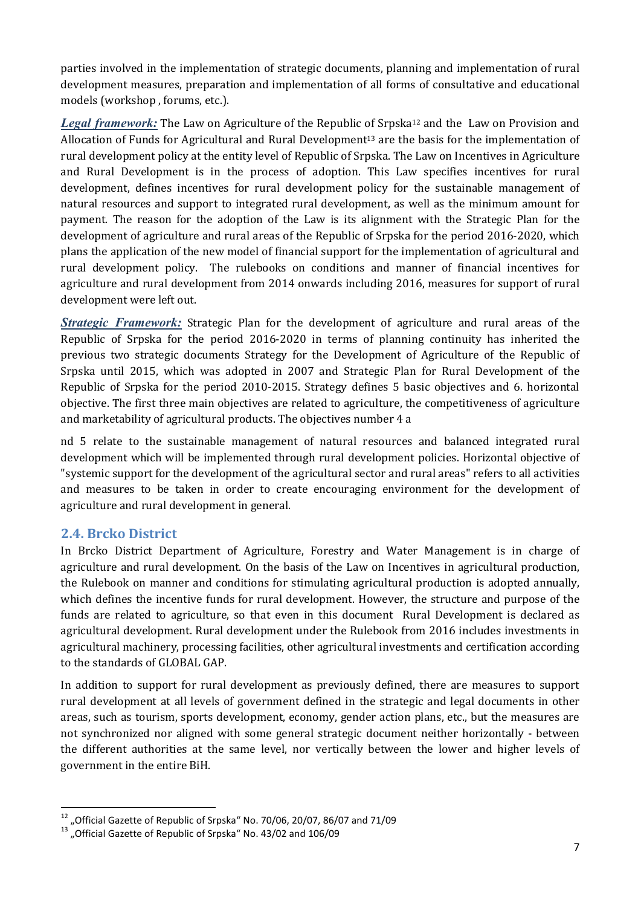parties involved in the implementation of strategic documents, planning and implementation of rural development measures, preparation and implementation of all forms of consultative and educational models (workshop , forums, etc.).

Legal framework: The Law on Agriculture of the Republic of Srpska<sup>12</sup> and the Law on Provision and Allocation of Funds for Agricultural and Rural Development<sup>13</sup> are the basis for the implementation of rural development policy at the entity level of Republic of Srpska. The Law on Incentives in Agriculture and Rural Development is in the process of adoption. This Law specifies incentives for rural development, defines incentives for rural development policy for the sustainable management of natural resources and support to integrated rural development, as well as the minimum amount for payment. The reason for the adoption of the Law is its alignment with the Strategic Plan for the development of agriculture and rural areas of the Republic of Srpska for the period 2016-2020, which plans the application of the new model of financial support for the implementation of agricultural and rural development policy. The rulebooks on conditions and manner of financial incentives for agriculture and rural development from 2014 onwards including 2016, measures for support of rural development were left out.

*Strategic Framework:* Strategic Plan for the development of agriculture and rural areas of the Republic of Srpska for the period 2016-2020 in terms of planning continuity has inherited the previous two strategic documents Strategy for the Development of Agriculture of the Republic of Srpska until 2015, which was adopted in 2007 and Strategic Plan for Rural Development of the Republic of Srpska for the period 2010-2015. Strategy defines 5 basic objectives and 6. horizontal objective. The first three main objectives are related to agriculture, the competitiveness of agriculture and marketability of agricultural products. The objectives number 4 a

nd 5 relate to the sustainable management of natural resources and balanced integrated rural development which will be implemented through rural development policies. Horizontal objective of "systemic support for the development of the agricultural sector and rural areas" refers to all activities and measures to be taken in order to create encouraging environment for the development of agriculture and rural development in general.

## 2.4. Brcko District

In Brcko District Department of Agriculture, Forestry and Water Management is in charge of agriculture and rural development. On the basis of the Law on Incentives in agricultural production, the Rulebook on manner and conditions for stimulating agricultural production is adopted annually, which defines the incentive funds for rural development. However, the structure and purpose of the funds are related to agriculture, so that even in this document Rural Development is declared as agricultural development. Rural development under the Rulebook from 2016 includes investments in agricultural machinery, processing facilities, other agricultural investments and certification according to the standards of GLOBAL GAP.

In addition to support for rural development as previously defined, there are measures to support rural development at all levels of government defined in the strategic and legal documents in other areas, such as tourism, sports development, economy, gender action plans, etc., but the measures are not synchronized nor aligned with some general strategic document neither horizontally - between the different authorities at the same level, nor vertically between the lower and higher levels of government in the entire BiH.

 $^{12}$  "Official Gazette of Republic of Srpska" No. 70/06, 20/07, 86/07 and 71/09  $^{13}$  "Official Gazette of Republic of Srpska" No. 43/02 and 106/09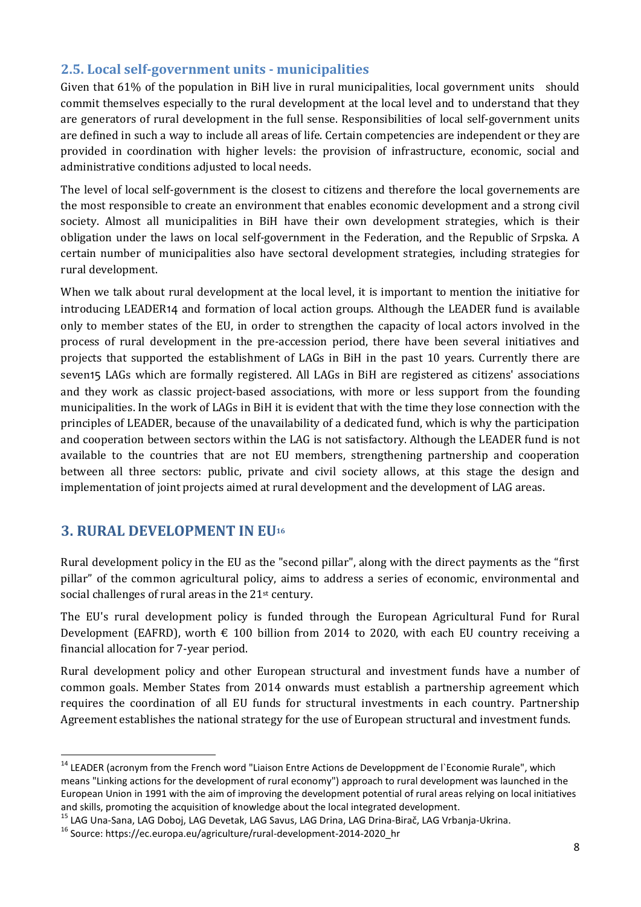### 2.5. Local self-government units - municipalities

Given that 61% of the population in BiH live in rural municipalities, local government units should commit themselves especially to the rural development at the local level and to understand that they are generators of rural development in the full sense. Responsibilities of local self-government units are defined in such a way to include all areas of life. Certain competencies are independent or they are provided in coordination with higher levels: the provision of infrastructure, economic, social and administrative conditions adjusted to local needs.

The level of local self-government is the closest to citizens and therefore the local governements are the most responsible to create an environment that enables economic development and a strong civil society. Almost all municipalities in BiH have their own development strategies, which is their obligation under the laws on local self-government in the Federation, and the Republic of Srpska. A certain number of municipalities also have sectoral development strategies, including strategies for rural development.

When we talk about rural development at the local level, it is important to mention the initiative for introducing LEADER14 and formation of local action groups. Although the LEADER fund is available only to member states of the EU, in order to strengthen the capacity of local actors involved in the process of rural development in the pre-accession period, there have been several initiatives and projects that supported the establishment of LAGs in BiH in the past 10 years. Currently there are seven15 LAGs which are formally registered. All LAGs in BiH are registered as citizens' associations and they work as classic project-based associations, with more or less support from the founding municipalities. In the work of LAGs in BiH it is evident that with the time they lose connection with the principles of LEADER, because of the unavailability of a dedicated fund, which is why the participation and cooperation between sectors within the LAG is not satisfactory. Although the LEADER fund is not available to the countries that are not EU members, strengthening partnership and cooperation between all three sectors: public, private and civil society allows, at this stage the design and implementation of joint projects aimed at rural development and the development of LAG areas.

## 3. RURAL DEVELOPMENT IN EU16

Rural development policy in the EU as the "second pillar", along with the direct payments as the "first pillar" of the common agricultural policy, aims to address a series of economic, environmental and social challenges of rural areas in the 21<sup>st</sup> century.

The EU's rural development policy is funded through the European Agricultural Fund for Rural Development (EAFRD), worth  $\epsilon$  100 billion from 2014 to 2020, with each EU country receiving a financial allocation for 7-year period.

Rural development policy and other European structural and investment funds have a number of common goals. Member States from 2014 onwards must establish a partnership agreement which requires the coordination of all EU funds for structural investments in each country. Partnership Agreement establishes the national strategy for the use of European structural and investment funds.

<sup>&</sup>lt;sup>14</sup> LEADER (acronym from the French word "Liaison Entre Actions de Developpment de l'Economie Rurale", which means "Linking actions for the development of rural economy") approach to rural development was launched in the European Union in 1991 with the aim of improving the development potential of rural areas relying on local initiatives and skills, promoting the acquisition of knowledge about the local integrated development.

<sup>&</sup>lt;sup>15</sup> LAG Una-Sana, LAG Doboj, LAG Devetak, LAG Savus, LAG Drina, LAG Drina-Birač, LAG Vrbanja-Ukrina.<br><sup>16</sup> Source: https://ec.europa.eu/agriculture/rural-development-2014-2020\_hr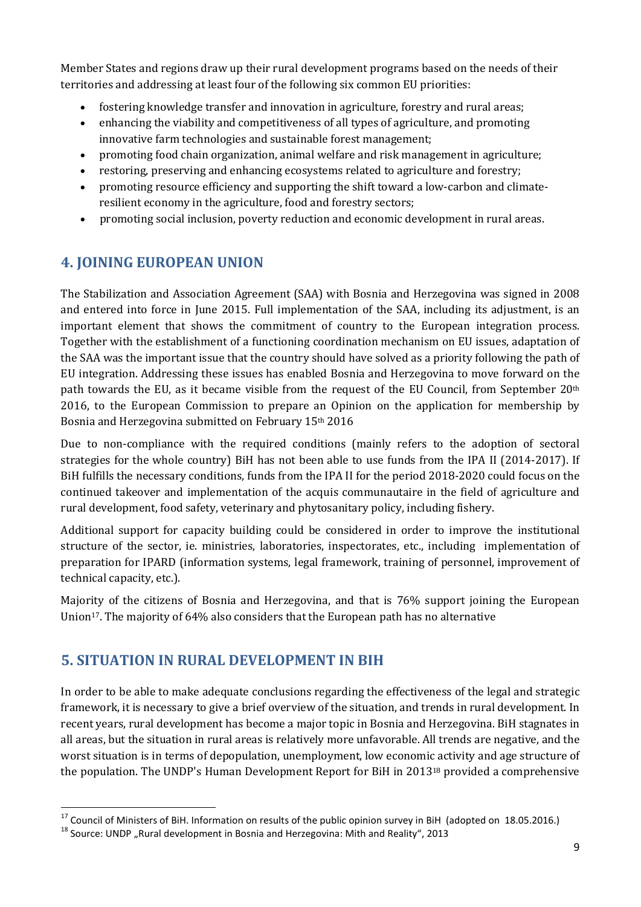Member States and regions draw up their rural development programs based on the needs of their territories and addressing at least four of the following six common EU priorities:

- fostering knowledge transfer and innovation in agriculture, forestry and rural areas;
- enhancing the viability and competitiveness of all types of agriculture, and promoting innovative farm technologies and sustainable forest management;
- promoting food chain organization, animal welfare and risk management in agriculture;
- restoring, preserving and enhancing ecosystems related to agriculture and forestry;
- promoting resource efficiency and supporting the shift toward a low-carbon and climateresilient economy in the agriculture, food and forestry sectors;
- promoting social inclusion, poverty reduction and economic development in rural areas.

## 4. JOINING EUROPEAN UNION

The Stabilization and Association Agreement (SAA) with Bosnia and Herzegovina was signed in 2008 and entered into force in June 2015. Full implementation of the SAA, including its adjustment, is an important element that shows the commitment of country to the European integration process. Together with the establishment of a functioning coordination mechanism on EU issues, adaptation of the SAA was the important issue that the country should have solved as a priority following the path of EU integration. Addressing these issues has enabled Bosnia and Herzegovina to move forward on the path towards the EU, as it became visible from the request of the EU Council, from September 20th 2016, to the European Commission to prepare an Opinion on the application for membership by Bosnia and Herzegovina submitted on February 15<sup>th</sup> 2016

Due to non-compliance with the required conditions (mainly refers to the adoption of sectoral strategies for the whole country) BiH has not been able to use funds from the IPA II (2014-2017). If BiH fulfills the necessary conditions, funds from the IPA II for the period 2018-2020 could focus on the continued takeover and implementation of the acquis communautaire in the field of agriculture and rural development, food safety, veterinary and phytosanitary policy, including fishery.

Additional support for capacity building could be considered in order to improve the institutional structure of the sector, ie. ministries, laboratories, inspectorates, etc., including implementation of preparation for IPARD (information systems, legal framework, training of personnel, improvement of technical capacity, etc.).

Majority of the citizens of Bosnia and Herzegovina, and that is 76% support joining the European Union17. The majority of 64% also considers that the European path has no alternative

## 5. SITUATION IN RURAL DEVELOPMENT IN BIH

In order to be able to make adequate conclusions regarding the effectiveness of the legal and strategic framework, it is necessary to give a brief overview of the situation, and trends in rural development. In recent years, rural development has become a major topic in Bosnia and Herzegovina. BiH stagnates in all areas, but the situation in rural areas is relatively more unfavorable. All trends are negative, and the worst situation is in terms of depopulation, unemployment, low economic activity and age structure of the population. The UNDP's Human Development Report for BiH in 201318 provided a comprehensive

<sup>&</sup>lt;sup>17</sup> Council of Ministers of BiH. Information on results of the public opinion survey in BiH (adopted on 18.05.2016.) <sup>18</sup> Source: UNDP "Rural development in Bosnia and Herzegovina: Mith and Reality", 2013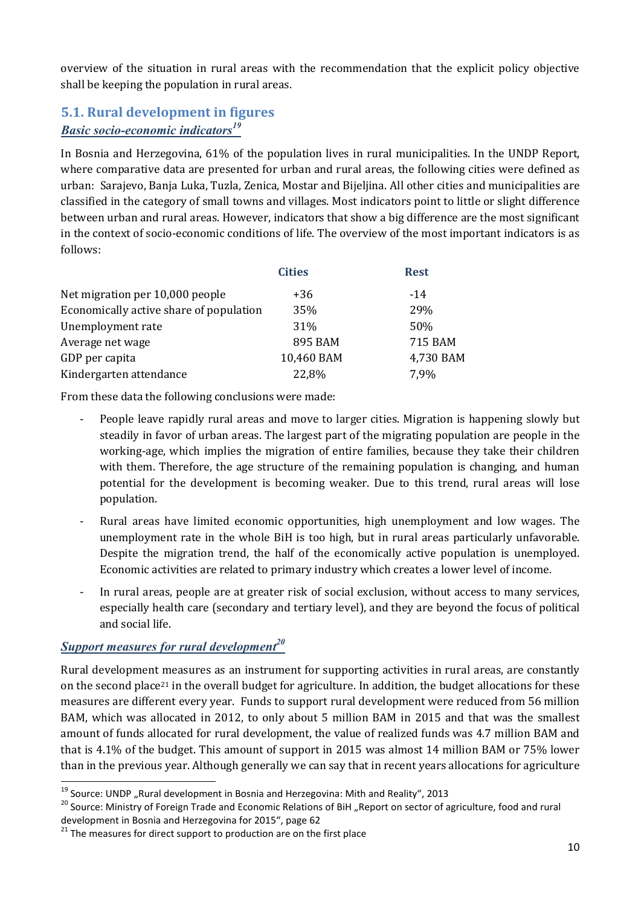overview of the situation in rural areas with the recommendation that the explicit policy objective shall be keeping the population in rural areas.

## 5.1. Rural development in figures

## *Basic socio-economic indicators<sup>19</sup>*

In Bosnia and Herzegovina, 61% of the population lives in rural municipalities. In the UNDP Report, where comparative data are presented for urban and rural areas, the following cities were defined as urban: Sarajevo, Banja Luka, Tuzla, Zenica, Mostar and Bijeljina. All other cities and municipalities are classified in the category of small towns and villages. Most indicators point to little or slight difference between urban and rural areas. However, indicators that show a big difference are the most significant in the context of socio-economic conditions of life. The overview of the most important indicators is as follows:

| <b>Cities</b> | <b>Rest</b> |
|---------------|-------------|
| +36           | $-14$       |
| 35%           | 29%         |
| 31\%          | 50%         |
| 895 BAM       | 715 BAM     |
| 10,460 BAM    | 4,730 BAM   |
| 22,8%         | 7,9%        |
|               |             |

From these data the following conclusions were made:

- People leave rapidly rural areas and move to larger cities. Migration is happening slowly but steadily in favor of urban areas. The largest part of the migrating population are people in the working-age, which implies the migration of entire families, because they take their children with them. Therefore, the age structure of the remaining population is changing, and human potential for the development is becoming weaker. Due to this trend, rural areas will lose population.
- Rural areas have limited economic opportunities, high unemployment and low wages. The unemployment rate in the whole BiH is too high, but in rural areas particularly unfavorable. Despite the migration trend, the half of the economically active population is unemployed. Economic activities are related to primary industry which creates a lower level of income.
- In rural areas, people are at greater risk of social exclusion, without access to many services, especially health care (secondary and tertiary level), and they are beyond the focus of political and social life.

### **Support measures for rural development**<sup>20</sup>

Rural development measures as an instrument for supporting activities in rural areas, are constantly on the second place<sup>21</sup> in the overall budget for agriculture. In addition, the budget allocations for these measures are different every year. Funds to support rural development were reduced from 56 million BAM, which was allocated in 2012, to only about 5 million BAM in 2015 and that was the smallest amount of funds allocated for rural development, the value of realized funds was 4.7 million BAM and that is 4.1% of the budget. This amount of support in 2015 was almost 14 million BAM or 75% lower than in the previous year. Although generally we can say that in recent years allocations for agriculture

<sup>&</sup>lt;sup>19</sup> Source: UNDP "Rural development in Bosnia and Herzegovina: Mith and Reality", 2013<br><sup>20</sup> Source: Ministry of Foreign Trade and Economic Relations of BiH "Report on sector of agriculture, food and rural development in Bosnia and Herzegovina for 2015", page 62<br><sup>21</sup> The measures for direct support to production are on the first place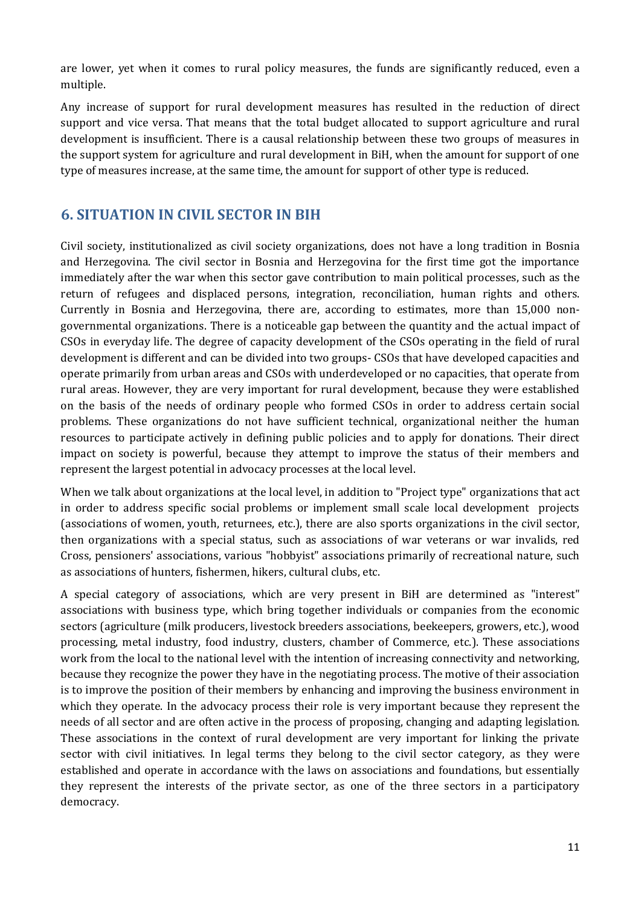are lower, yet when it comes to rural policy measures, the funds are significantly reduced, even a multiple.

Any increase of support for rural development measures has resulted in the reduction of direct support and vice versa. That means that the total budget allocated to support agriculture and rural development is insufficient. There is a causal relationship between these two groups of measures in the support system for agriculture and rural development in BiH, when the amount for support of one type of measures increase, at the same time, the amount for support of other type is reduced.

## 6. SITUATION IN CIVIL SECTOR IN BIH

Civil society, institutionalized as civil society organizations, does not have a long tradition in Bosnia and Herzegovina. The civil sector in Bosnia and Herzegovina for the first time got the importance immediately after the war when this sector gave contribution to main political processes, such as the return of refugees and displaced persons, integration, reconciliation, human rights and others. Currently in Bosnia and Herzegovina, there are, according to estimates, more than 15,000 nongovernmental organizations. There is a noticeable gap between the quantity and the actual impact of CSOs in everyday life. The degree of capacity development of the CSOs operating in the field of rural development is different and can be divided into two groups- CSOs that have developed capacities and operate primarily from urban areas and CSOs with underdeveloped or no capacities, that operate from rural areas. However, they are very important for rural development, because they were established on the basis of the needs of ordinary people who formed CSOs in order to address certain social problems. These organizations do not have sufficient technical, organizational neither the human resources to participate actively in defining public policies and to apply for donations. Their direct impact on society is powerful, because they attempt to improve the status of their members and represent the largest potential in advocacy processes at the local level.

When we talk about organizations at the local level, in addition to "Project type" organizations that act in order to address specific social problems or implement small scale local development projects (associations of women, youth, returnees, etc.), there are also sports organizations in the civil sector, then organizations with a special status, such as associations of war veterans or war invalids, red Cross, pensioners' associations, various "hobbyist" associations primarily of recreational nature, such as associations of hunters, fishermen, hikers, cultural clubs, etc.

A special category of associations, which are very present in BiH are determined as "interest" associations with business type, which bring together individuals or companies from the economic sectors (agriculture (milk producers, livestock breeders associations, beekeepers, growers, etc.), wood processing, metal industry, food industry, clusters, chamber of Commerce, etc.). These associations work from the local to the national level with the intention of increasing connectivity and networking, because they recognize the power they have in the negotiating process. The motive of their association is to improve the position of their members by enhancing and improving the business environment in which they operate. In the advocacy process their role is very important because they represent the needs of all sector and are often active in the process of proposing, changing and adapting legislation. These associations in the context of rural development are very important for linking the private sector with civil initiatives. In legal terms they belong to the civil sector category, as they were established and operate in accordance with the laws on associations and foundations, but essentially they represent the interests of the private sector, as one of the three sectors in a participatory democracy.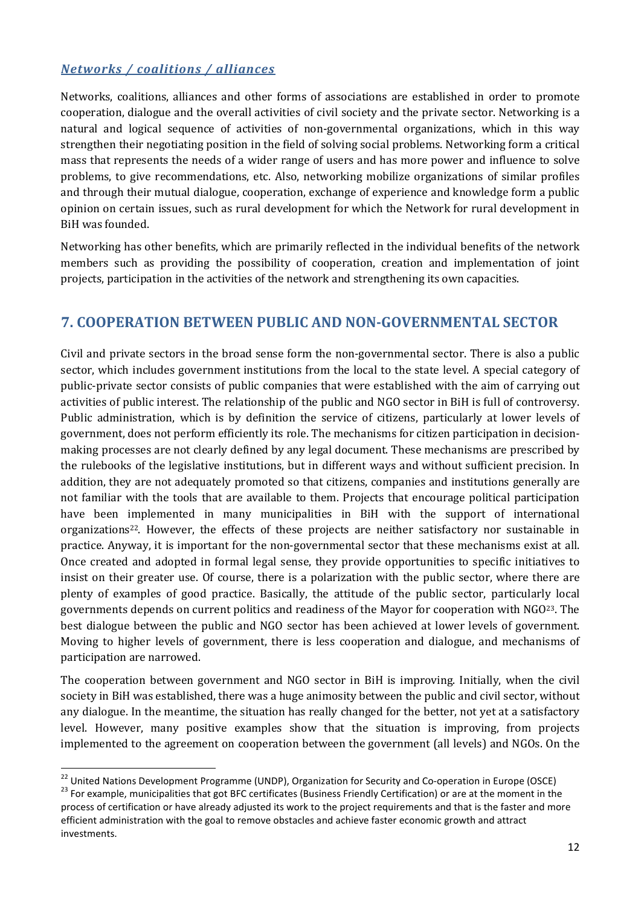#### *Networks / coalitions / alliances*

Networks, coalitions, alliances and other forms of associations are established in order to promote cooperation, dialogue and the overall activities of civil society and the private sector. Networking is a natural and logical sequence of activities of non-governmental organizations, which in this way strengthen their negotiating position in the field of solving social problems. Networking form a critical mass that represents the needs of a wider range of users and has more power and influence to solve problems, to give recommendations, etc. Also, networking mobilize organizations of similar profiles and through their mutual dialogue, cooperation, exchange of experience and knowledge form a public opinion on certain issues, such as rural development for which the Network for rural development in BiH was founded.

Networking has other benefits, which are primarily reflected in the individual benefits of the network members such as providing the possibility of cooperation, creation and implementation of joint projects, participation in the activities of the network and strengthening its own capacities.

## 7. COOPERATION BETWEEN PUBLIC AND NON-GOVERNMENTAL SECTOR

Civil and private sectors in the broad sense form the non-governmental sector. There is also a public sector, which includes government institutions from the local to the state level. A special category of public-private sector consists of public companies that were established with the aim of carrying out activities of public interest. The relationship of the public and NGO sector in BiH is full of controversy. Public administration, which is by definition the service of citizens, particularly at lower levels of government, does not perform efficiently its role. The mechanisms for citizen participation in decisionmaking processes are not clearly defined by any legal document. These mechanisms are prescribed by the rulebooks of the legislative institutions, but in different ways and without sufficient precision. In addition, they are not adequately promoted so that citizens, companies and institutions generally are not familiar with the tools that are available to them. Projects that encourage political participation have been implemented in many municipalities in BiH with the support of international organizations<sup>22</sup>. However, the effects of these projects are neither satisfactory nor sustainable in practice. Anyway, it is important for the non-governmental sector that these mechanisms exist at all. Once created and adopted in formal legal sense, they provide opportunities to specific initiatives to insist on their greater use. Of course, there is a polarization with the public sector, where there are plenty of examples of good practice. Basically, the attitude of the public sector, particularly local governments depends on current politics and readiness of the Mayor for cooperation with NGO23. The best dialogue between the public and NGO sector has been achieved at lower levels of government. Moving to higher levels of government, there is less cooperation and dialogue, and mechanisms of participation are narrowed.

The cooperation between government and NGO sector in BiH is improving. Initially, when the civil society in BiH was established, there was a huge animosity between the public and civil sector, without any dialogue. In the meantime, the situation has really changed for the better, not yet at a satisfactory level. However, many positive examples show that the situation is improving, from projects implemented to the agreement on cooperation between the government (all levels) and NGOs. On the

<sup>&</sup>lt;sup>22</sup> United Nations Development Programme (UNDP), Organization for Security and Co-operation in Europe (OSCE)<br><sup>23</sup> For example, municipalities that got BFC certificates (Business Friendly Certification) or are at the mome

process of certification or have already adjusted its work to the project requirements and that is the faster and more efficient administration with the goal to remove obstacles and achieve faster economic growth and attract investments.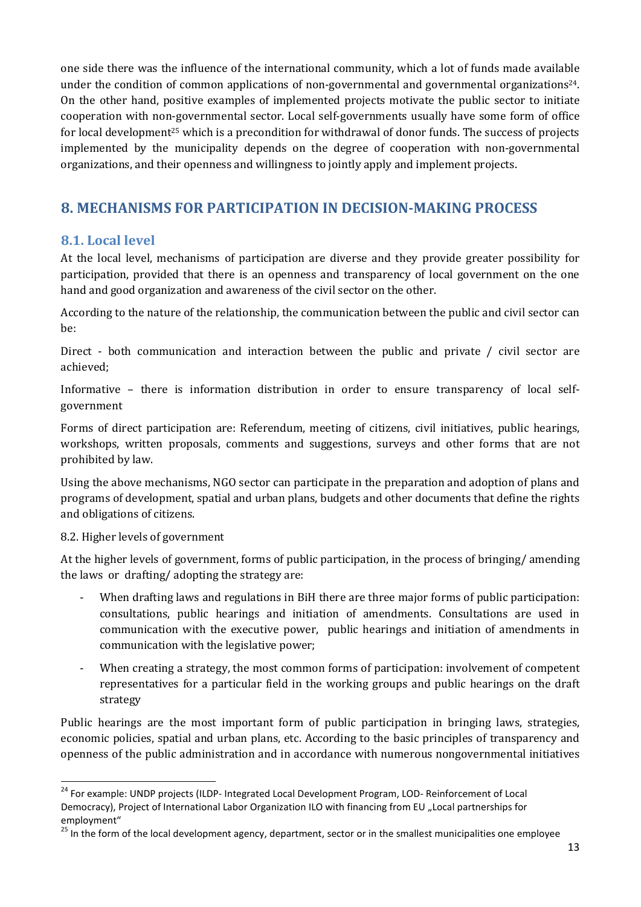one side there was the influence of the international community, which a lot of funds made available under the condition of common applications of non-governmental and governmental organizations24. On the other hand, positive examples of implemented projects motivate the public sector to initiate cooperation with non-governmental sector. Local self-governments usually have some form of office for local development<sup>25</sup> which is a precondition for withdrawal of donor funds. The success of projects implemented by the municipality depends on the degree of cooperation with non-governmental organizations, and their openness and willingness to jointly apply and implement projects.

## 8. MECHANISMS FOR PARTICIPATION IN DECISION-MAKING PROCESS

#### 8.1. Local level

At the local level, mechanisms of participation are diverse and they provide greater possibility for participation, provided that there is an openness and transparency of local government on the one hand and good organization and awareness of the civil sector on the other.

According to the nature of the relationship, the communication between the public and civil sector can be:

Direct - both communication and interaction between the public and private / civil sector are achieved;

Informative – there is information distribution in order to ensure transparency of local selfgovernment

Forms of direct participation are: Referendum, meeting of citizens, civil initiatives, public hearings, workshops, written proposals, comments and suggestions, surveys and other forms that are not prohibited by law.

Using the above mechanisms, NGO sector can participate in the preparation and adoption of plans and programs of development, spatial and urban plans, budgets and other documents that define the rights and obligations of citizens.

#### 8.2. Higher levels of government

At the higher levels of government, forms of public participation, in the process of bringing/ amending the laws or drafting/ adopting the strategy are:

- When drafting laws and regulations in BiH there are three major forms of public participation: consultations, public hearings and initiation of amendments. Consultations are used in communication with the executive power, public hearings and initiation of amendments in communication with the legislative power;
- When creating a strategy, the most common forms of participation: involvement of competent representatives for a particular field in the working groups and public hearings on the draft strategy

Public hearings are the most important form of public participation in bringing laws, strategies, economic policies, spatial and urban plans, etc. According to the basic principles of transparency and openness of the public administration and in accordance with numerous nongovernmental initiatives

<sup>&</sup>lt;sup>24</sup> For example: UNDP projects (ILDP- Integrated Local Development Program, LOD- Reinforcement of Local Democracy), Project of International Labor Organization ILO with financing from EU "Local partnerships for employment"

<sup>&</sup>lt;sup>25</sup> In the form of the local development agency, department, sector or in the smallest municipalities one employee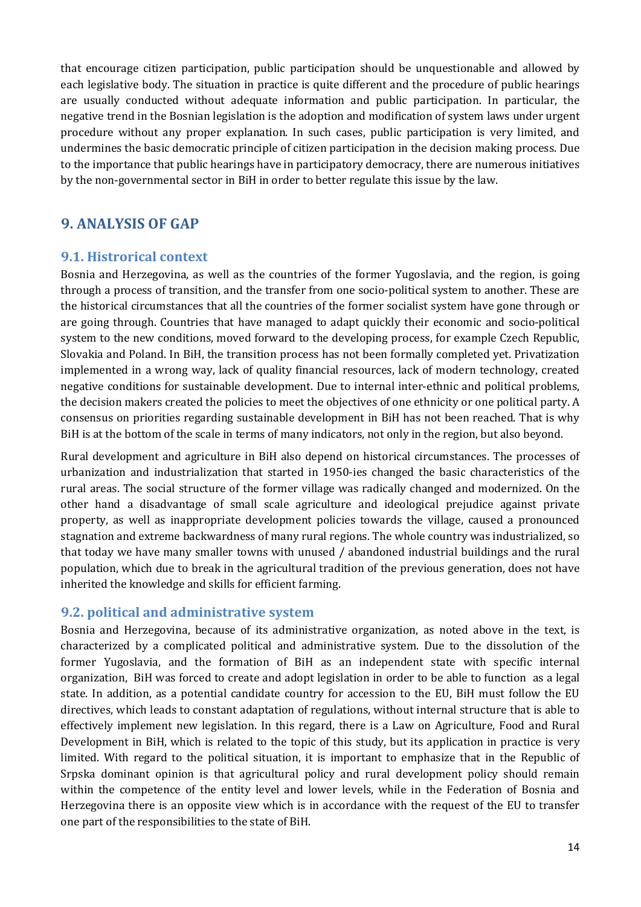that encourage citizen participation, public participation should be unquestionable and allowed by each legislative body. The situation in practice is quite different and the procedure of public hearings are usually conducted without adequate information and public participation. In particular, the negative trend in the Bosnian legislation is the adoption and modification of system laws under urgent procedure without any proper explanation. In such cases, public participation is very limited, and undermines the basic democratic principle of citizen participation in the decision making process. Due to the importance that public hearings have in participatory democracy, there are numerous initiatives by the non-governmental sector in BiH in order to better regulate this issue by the law.

### 9. ANALYSIS OF GAP

#### 9.1. Histrorical context

Bosnia and Herzegovina, as well as the countries of the former Yugoslavia, and the region, is going through a process of transition, and the transfer from one socio-political system to another. These are the historical circumstances that all the countries of the former socialist system have gone through or are going through. Countries that have managed to adapt quickly their economic and socio-political system to the new conditions, moved forward to the developing process, for example Czech Republic, Slovakia and Poland. In BiH, the transition process has not been formally completed yet. Privatization implemented in a wrong way, lack of quality financial resources, lack of modern technology, created negative conditions for sustainable development. Due to internal inter-ethnic and political problems, the decision makers created the policies to meet the objectives of one ethnicity or one political party. A consensus on priorities regarding sustainable development in BiH has not been reached. That is why BiH is at the bottom of the scale in terms of many indicators, not only in the region, but also beyond.

Rural development and agriculture in BiH also depend on historical circumstances. The processes of urbanization and industrialization that started in 1950-ies changed the basic characteristics of the rural areas. The social structure of the former village was radically changed and modernized. On the other hand a disadvantage of small scale agriculture and ideological prejudice against private property, as well as inappropriate development policies towards the village, caused a pronounced stagnation and extreme backwardness of many rural regions. The whole country was industrialized, so that today we have many smaller towns with unused / abandoned industrial buildings and the rural population, which due to break in the agricultural tradition of the previous generation, does not have inherited the knowledge and skills for efficient farming.

#### 9.2. political and administrative system

Bosnia and Herzegovina, because of its administrative organization, as noted above in the text, is characterized by a complicated political and administrative system. Due to the dissolution of the former Yugoslavia, and the formation of BiH as an independent state with specific internal organization, BiH was forced to create and adopt legislation in order to be able to function as a legal state. In addition, as a potential candidate country for accession to the EU, BiH must follow the EU directives, which leads to constant adaptation of regulations, without internal structure that is able to effectively implement new legislation. In this regard, there is a Law on Agriculture, Food and Rural Development in BiH, which is related to the topic of this study, but its application in practice is very limited. With regard to the political situation, it is important to emphasize that in the Republic of Srpska dominant opinion is that agricultural policy and rural development policy should remain within the competence of the entity level and lower levels, while in the Federation of Bosnia and Herzegovina there is an opposite view which is in accordance with the request of the EU to transfer one part of the responsibilities to the state of BiH.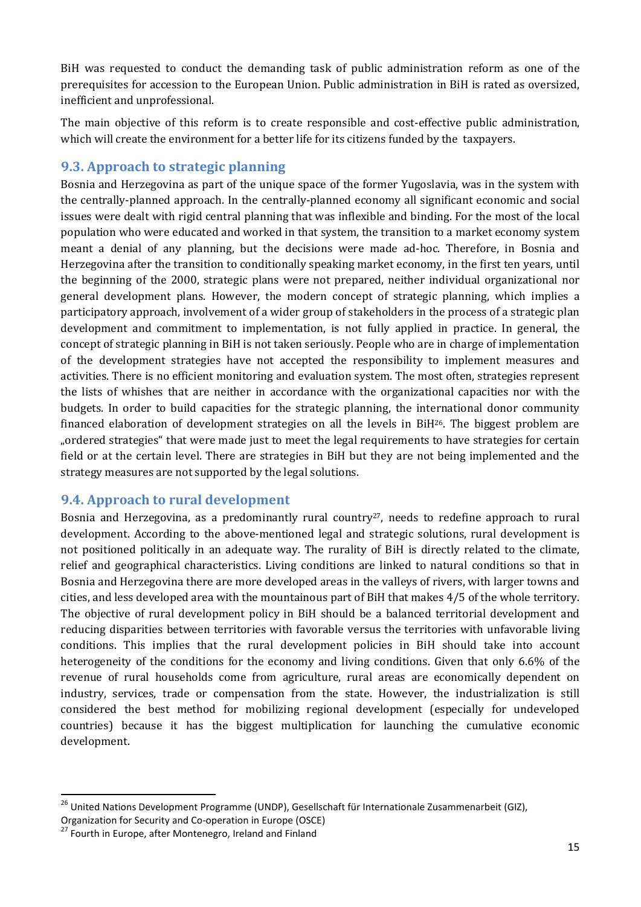BiH was requested to conduct the demanding task of public administration reform as one of the prerequisites for accession to the European Union. Public administration in BiH is rated as oversized, inefficient and unprofessional.

The main objective of this reform is to create responsible and cost-effective public administration, which will create the environment for a better life for its citizens funded by the taxpayers.

#### 9.3. Approach to strategic planning

Bosnia and Herzegovina as part of the unique space of the former Yugoslavia, was in the system with the centrally-planned approach. In the centrally-planned economy all significant economic and social issues were dealt with rigid central planning that was inflexible and binding. For the most of the local population who were educated and worked in that system, the transition to a market economy system meant a denial of any planning, but the decisions were made ad-hoc. Therefore, in Bosnia and Herzegovina after the transition to conditionally speaking market economy, in the first ten years, until the beginning of the 2000, strategic plans were not prepared, neither individual organizational nor general development plans. However, the modern concept of strategic planning, which implies a participatory approach, involvement of a wider group of stakeholders in the process of a strategic plan development and commitment to implementation, is not fully applied in practice. In general, the concept of strategic planning in BiH is not taken seriously. People who are in charge of implementation of the development strategies have not accepted the responsibility to implement measures and activities. There is no efficient monitoring and evaluation system. The most often, strategies represent the lists of whishes that are neither in accordance with the organizational capacities nor with the budgets. In order to build capacities for the strategic planning, the international donor community financed elaboration of development strategies on all the levels in  $BiH^{26}$ . The biggest problem are "ordered strategies" that were made just to meet the legal requirements to have strategies for certain field or at the certain level. There are strategies in BiH but they are not being implemented and the strategy measures are not supported by the legal solutions.

#### 9.4. Approach to rural development

Bosnia and Herzegovina, as a predominantly rural country<sup>27</sup>, needs to redefine approach to rural development. According to the above-mentioned legal and strategic solutions, rural development is not positioned politically in an adequate way. The rurality of BiH is directly related to the climate, relief and geographical characteristics. Living conditions are linked to natural conditions so that in Bosnia and Herzegovina there are more developed areas in the valleys of rivers, with larger towns and cities, and less developed area with the mountainous part of BiH that makes 4/5 of the whole territory. The objective of rural development policy in BiH should be a balanced territorial development and reducing disparities between territories with favorable versus the territories with unfavorable living conditions. This implies that the rural development policies in BiH should take into account heterogeneity of the conditions for the economy and living conditions. Given that only 6.6% of the revenue of rural households come from agriculture, rural areas are economically dependent on industry, services, trade or compensation from the state. However, the industrialization is still considered the best method for mobilizing regional development (especially for undeveloped countries) because it has the biggest multiplication for launching the cumulative economic development.

<sup>&</sup>lt;sup>26</sup> United Nations Development Programme (UNDP), Gesellschaft für Internationale Zusammenarbeit (GIZ),

Organization for Security and Co-operation in Europe (OSCE)<br><sup>27</sup> Fourth in Europe, after Montenegro, Ireland and Finland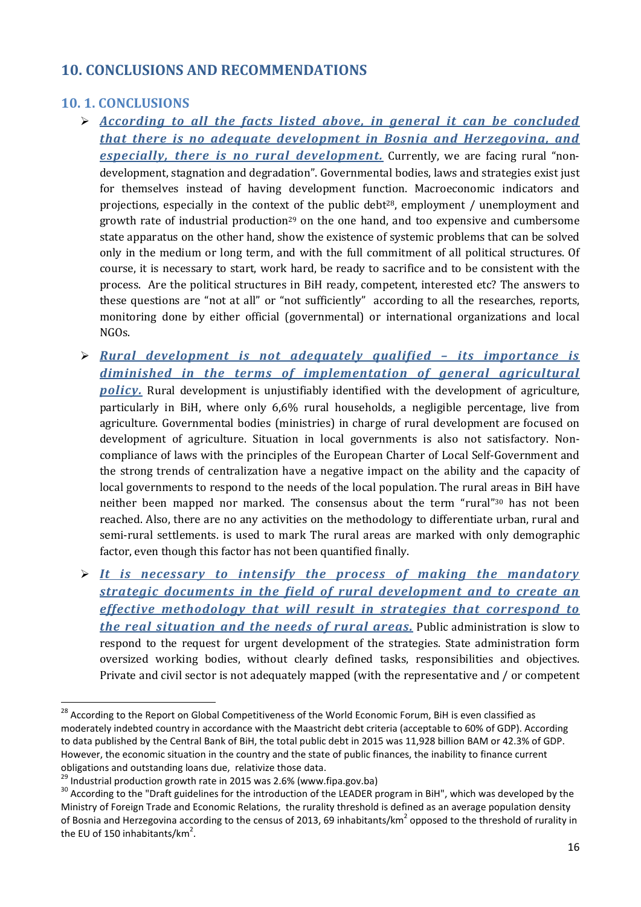## 10. CONCLUSIONS AND RECOMMENDATIONS

## 10. 1. CONCLUSIONS

- *According to all the facts listed above, in general it can be concluded that there is no adequate development in Bosnia and Herzegovina, and especially, there is no rural development.* Currently, we are facing rural "nondevelopment, stagnation and degradation". Governmental bodies, laws and strategies exist just for themselves instead of having development function. Macroeconomic indicators and projections, especially in the context of the public debt<sup>28</sup>, employment / unemployment and growth rate of industrial production29 on the one hand, and too expensive and cumbersome state apparatus on the other hand, show the existence of systemic problems that can be solved only in the medium or long term, and with the full commitment of all political structures. Of course, it is necessary to start, work hard, be ready to sacrifice and to be consistent with the process. Are the political structures in BiH ready, competent, interested etc? The answers to these questions are "not at all" or "not sufficiently" according to all the researches, reports, monitoring done by either official (governmental) or international organizations and local NGOs.
- *Rural development is not adequately qualified – its importance is diminished in the terms of implementation of general agricultural policy.* Rural development is unjustifiably identified with the development of agriculture, particularly in BiH, where only 6,6% rural households, a negligible percentage, live from agriculture. Governmental bodies (ministries) in charge of rural development are focused on development of agriculture. Situation in local governments is also not satisfactory. Noncompliance of laws with the principles of the European Charter of Local Self-Government and the strong trends of centralization have a negative impact on the ability and the capacity of local governments to respond to the needs of the local population. The rural areas in BiH have neither been mapped nor marked. The consensus about the term "rural"30 has not been reached. Also, there are no any activities on the methodology to differentiate urban, rural and semi-rural settlements. is used to mark The rural areas are marked with only demographic factor, even though this factor has not been quantified finally.
- *It is necessary to intensify the process of making the mandatory strategic documents in the field of rural development and to create an effective methodology that will result in strategies that correspond to the real situation and the needs of rural areas.* Public administration is slow to respond to the request for urgent development of the strategies. State administration form oversized working bodies, without clearly defined tasks, responsibilities and objectives. Private and civil sector is not adequately mapped (with the representative and / or competent

<sup>&</sup>lt;sup>28</sup> According to the Report on Global Competitiveness of the World Economic Forum, BiH is even classified as moderately indebted country in accordance with the Maastricht debt criteria (acceptable to 60% of GDP). According to data published by the Central Bank of BiH, the total public debt in 2015 was 11,928 billion BAM or 42.3% of GDP. However, the economic situation in the country and the state of public finances, the inability to finance current obligations and outstanding loans due, relativize those data.<br><sup>29</sup> Industrial production growth rate in 2015 was 2.6% (www.fipa.gov.ba)<br><sup>30</sup> According to the "Draft guidelines for the introduction of the LEADER program in

Ministry of Foreign Trade and Economic Relations, the rurality threshold is defined as an average population density of Bosnia and Herzegovina according to the census of 2013, 69 inhabitants/km<sup>2</sup> opposed to the threshold of rurality in the EU of 150 inhabitants/km<sup>2</sup>.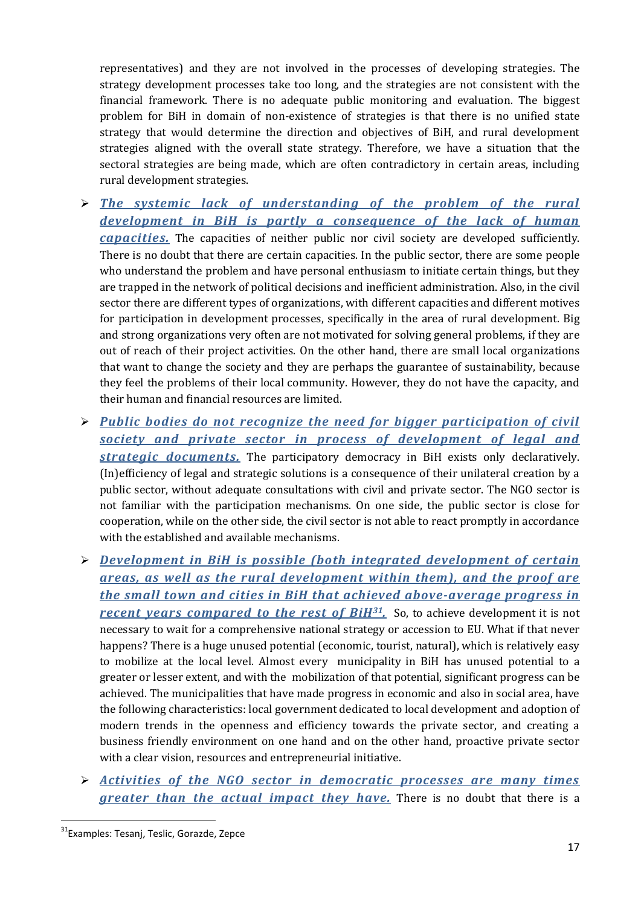representatives) and they are not involved in the processes of developing strategies. The strategy development processes take too long, and the strategies are not consistent with the financial framework. There is no adequate public monitoring and evaluation. The biggest problem for BiH in domain of non-existence of strategies is that there is no unified state strategy that would determine the direction and objectives of BiH, and rural development strategies aligned with the overall state strategy. Therefore, we have a situation that the sectoral strategies are being made, which are often contradictory in certain areas, including rural development strategies.

- *The systemic lack of understanding of the problem of the rural development in BiH is partly a consequence of the lack of human capacities.* The capacities of neither public nor civil society are developed sufficiently. There is no doubt that there are certain capacities. In the public sector, there are some people who understand the problem and have personal enthusiasm to initiate certain things, but they are trapped in the network of political decisions and inefficient administration. Also, in the civil sector there are different types of organizations, with different capacities and different motives for participation in development processes, specifically in the area of rural development. Big and strong organizations very often are not motivated for solving general problems, if they are out of reach of their project activities. On the other hand, there are small local organizations that want to change the society and they are perhaps the guarantee of sustainability, because they feel the problems of their local community. However, they do not have the capacity, and their human and financial resources are limited.
- *Public bodies do not recognize the need for bigger participation of civil society and private sector in process of development of legal and strategic documents.* The participatory democracy in BiH exists only declaratively. (In)efficiency of legal and strategic solutions is a consequence of their unilateral creation by a public sector, without adequate consultations with civil and private sector. The NGO sector is not familiar with the participation mechanisms. On one side, the public sector is close for cooperation, while on the other side, the civil sector is not able to react promptly in accordance with the established and available mechanisms.
- *Development in BiH is possible (both integrated development of certain areas, as well as the rural development within them), and the proof are the small town and cities in BiH that achieved above-average progress in recent years compared to the rest of BiH31.* So, to achieve development it is not necessary to wait for a comprehensive national strategy or accession to EU. What if that never happens? There is a huge unused potential (economic, tourist, natural), which is relatively easy to mobilize at the local level. Almost every municipality in BiH has unused potential to a greater or lesser extent, and with the mobilization of that potential, significant progress can be achieved. The municipalities that have made progress in economic and also in social area, have the following characteristics: local government dedicated to local development and adoption of modern trends in the openness and efficiency towards the private sector, and creating a business friendly environment on one hand and on the other hand, proactive private sector with a clear vision, resources and entrepreneurial initiative.
- *Activities of the NGO sector in democratic processes are many times greater than the actual impact they have.* There is no doubt that there is a

<sup>&</sup>lt;sup>31</sup>Examples: Tesanj, Teslic, Gorazde, Zepce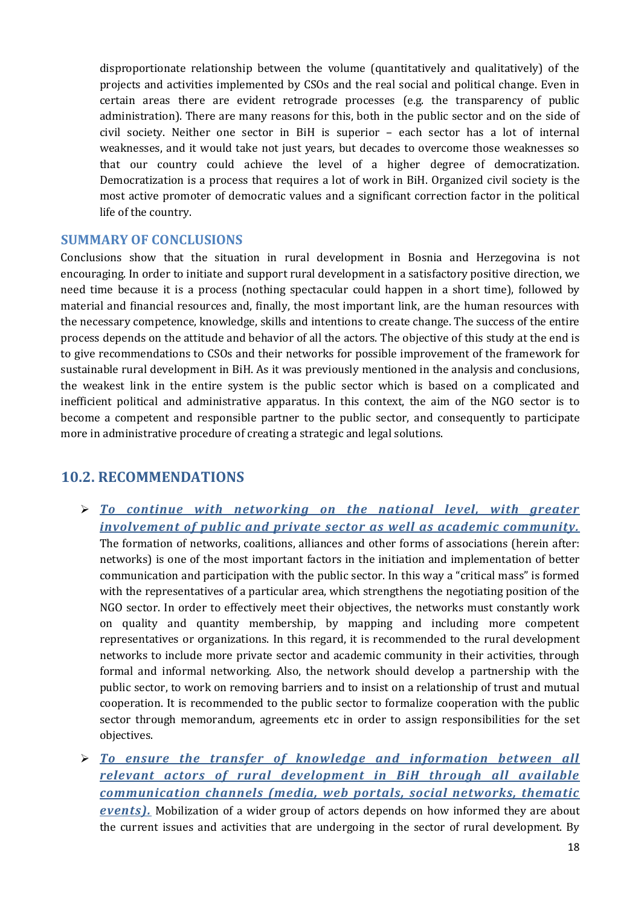disproportionate relationship between the volume (quantitatively and qualitatively) of the projects and activities implemented by CSOs and the real social and political change. Even in certain areas there are evident retrograde processes (e.g. the transparency of public administration). There are many reasons for this, both in the public sector and on the side of civil society. Neither one sector in BiH is superior – each sector has a lot of internal weaknesses, and it would take not just years, but decades to overcome those weaknesses so that our country could achieve the level of a higher degree of democratization. Democratization is a process that requires a lot of work in BiH. Organized civil society is the most active promoter of democratic values and a significant correction factor in the political life of the country.

#### SUMMARY OF CONCLUSIONS

Conclusions show that the situation in rural development in Bosnia and Herzegovina is not encouraging. In order to initiate and support rural development in a satisfactory positive direction, we need time because it is a process (nothing spectacular could happen in a short time), followed by material and financial resources and, finally, the most important link, are the human resources with the necessary competence, knowledge, skills and intentions to create change. The success of the entire process depends on the attitude and behavior of all the actors. The objective of this study at the end is to give recommendations to CSOs and their networks for possible improvement of the framework for sustainable rural development in BiH. As it was previously mentioned in the analysis and conclusions, the weakest link in the entire system is the public sector which is based on a complicated and inefficient political and administrative apparatus. In this context, the aim of the NGO sector is to become a competent and responsible partner to the public sector, and consequently to participate more in administrative procedure of creating a strategic and legal solutions.

#### 10.2. RECOMMENDATIONS

- *To continue with networking on the national level, with greater involvement of public and private sector as well as academic community.* The formation of networks, coalitions, alliances and other forms of associations (herein after: networks) is one of the most important factors in the initiation and implementation of better communication and participation with the public sector. In this way a "critical mass" is formed with the representatives of a particular area, which strengthens the negotiating position of the NGO sector. In order to effectively meet their objectives, the networks must constantly work on quality and quantity membership, by mapping and including more competent representatives or organizations. In this regard, it is recommended to the rural development networks to include more private sector and academic community in their activities, through formal and informal networking. Also, the network should develop a partnership with the public sector, to work on removing barriers and to insist on a relationship of trust and mutual cooperation. It is recommended to the public sector to formalize cooperation with the public sector through memorandum, agreements etc in order to assign responsibilities for the set objectives.
- *To ensure the transfer of knowledge and information between all relevant actors of rural development in BiH through all available communication channels (media, web portals, social networks, thematic events)*. Mobilization of a wider group of actors depends on how informed they are about the current issues and activities that are undergoing in the sector of rural development. By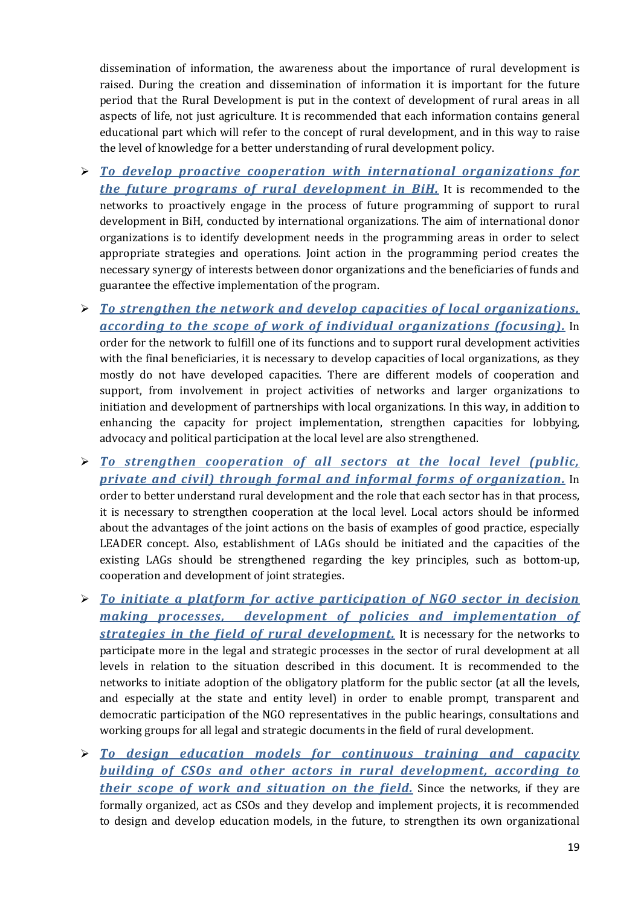dissemination of information, the awareness about the importance of rural development is raised. During the creation and dissemination of information it is important for the future period that the Rural Development is put in the context of development of rural areas in all aspects of life, not just agriculture. It is recommended that each information contains general educational part which will refer to the concept of rural development, and in this way to raise the level of knowledge for a better understanding of rural development policy.

- *To develop proactive cooperation with international organizations for the future programs of rural development in BiH.* It is recommended to the networks to proactively engage in the process of future programming of support to rural development in BiH, conducted by international organizations. The aim of international donor organizations is to identify development needs in the programming areas in order to select appropriate strategies and operations. Joint action in the programming period creates the necessary synergy of interests between donor organizations and the beneficiaries of funds and guarantee the effective implementation of the program.
- *To strengthen the network and develop capacities of local organizations, according to the scope of work of individual organizations (focusing).* In order for the network to fulfill one of its functions and to support rural development activities with the final beneficiaries, it is necessary to develop capacities of local organizations, as they mostly do not have developed capacities. There are different models of cooperation and support, from involvement in project activities of networks and larger organizations to initiation and development of partnerships with local organizations. In this way, in addition to enhancing the capacity for project implementation, strengthen capacities for lobbying, advocacy and political participation at the local level are also strengthened.
- *To strengthen cooperation of all sectors at the local level (public, private and civil) through formal and informal forms of organization.* In order to better understand rural development and the role that each sector has in that process, it is necessary to strengthen cooperation at the local level. Local actors should be informed about the advantages of the joint actions on the basis of examples of good practice, especially LEADER concept. Also, establishment of LAGs should be initiated and the capacities of the existing LAGs should be strengthened regarding the key principles, such as bottom-up, cooperation and development of joint strategies.
- *To initiate a platform for active participation of NGO sector in decision making processes, development of policies and implementation of strategies in the field of rural development.* It is necessary for the networks to participate more in the legal and strategic processes in the sector of rural development at all levels in relation to the situation described in this document. It is recommended to the networks to initiate adoption of the obligatory platform for the public sector (at all the levels, and especially at the state and entity level) in order to enable prompt, transparent and democratic participation of the NGO representatives in the public hearings, consultations and working groups for all legal and strategic documents in the field of rural development.
- *To design education models for continuous training and capacity building of CSOs and other actors in rural development, according to their scope of work and situation on the field.* Since the networks, if they are formally organized, act as CSOs and they develop and implement projects, it is recommended to design and develop education models, in the future, to strengthen its own organizational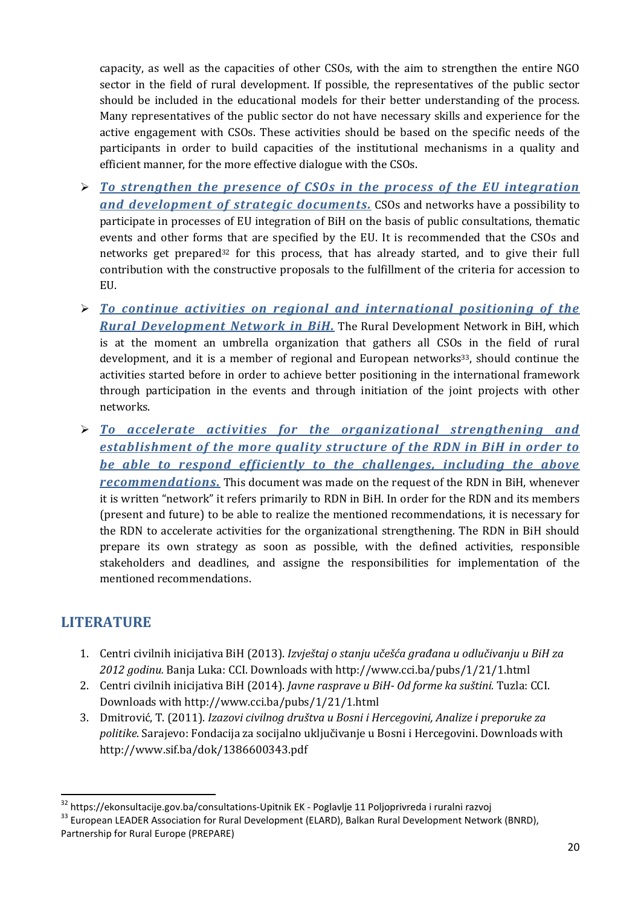capacity, as well as the capacities of other CSOs, with the aim to strengthen the entire NGO sector in the field of rural development. If possible, the representatives of the public sector should be included in the educational models for their better understanding of the process. Many representatives of the public sector do not have necessary skills and experience for the active engagement with CSOs. These activities should be based on the specific needs of the participants in order to build capacities of the institutional mechanisms in a quality and efficient manner, for the more effective dialogue with the CSOs.

- *To strengthen the presence of CSOs in the process of the EU integration and development of strategic documents.* CSOs and networks have a possibility to participate in processes of EU integration of BiH on the basis of public consultations, thematic events and other forms that are specified by the EU. It is recommended that the CSOs and networks get prepared32 for this process, that has already started, and to give their full contribution with the constructive proposals to the fulfillment of the criteria for accession to EU.
- *To continue activities on regional and international positioning of the Rural Development Network in BiH.* The Rural Development Network in BiH, which is at the moment an umbrella organization that gathers all CSOs in the field of rural development, and it is a member of regional and European networks<sup>33</sup>, should continue the activities started before in order to achieve better positioning in the international framework through participation in the events and through initiation of the joint projects with other networks.
- *To accelerate activities for the organizational strengthening and establishment of the more quality structure of the RDN in BiH in order to be able to respond efficiently to the challenges, including the above recommendations.* This document was made on the request of the RDN in BiH, whenever it is written "network" it refers primarily to RDN in BiH. In order for the RDN and its members (present and future) to be able to realize the mentioned recommendations, it is necessary for the RDN to accelerate activities for the organizational strengthening. The RDN in BiH should prepare its own strategy as soon as possible, with the defined activities, responsible stakeholders and deadlines, and assigne the responsibilities for implementation of the mentioned recommendations.

## **LITERATURE**

- 1. Centri civilnih inicijativa BiH (2013). *Izvještaj o stanju učešća građana u odlučivanju u BiH za 2012 godinu.* Banja Luka: CCI. Downloads with http://www.cci.ba/pubs/1/21/1.html
- 2. Centri civilnih inicijativa BiH (2014). *Javne rasprave u BiH- Od forme ka suštini.* Tuzla: CCI. Downloads with http://www.cci.ba/pubs/1/21/1.html
- 3. Dmitrović, T. (2011). *Izazovi civilnog društva u Bosni i Hercegovini, Analize i preporuke za politike*. Sarajevo: Fondacija za socijalno uključivanje u Bosni i Hercegovini. Downloads with http://www.sif.ba/dok/1386600343.pdf

<sup>&</sup>lt;sup>32</sup> https://ekonsultacije.gov.ba/consultations-Upitnik EK - Poglavlje 11 Poljoprivreda i ruralni razvoj<br><sup>33</sup> European LEADER Association for Rural Development (ELARD), Balkan Rural Development Network (BNRD), Partnership for Rural Europe (PREPARE)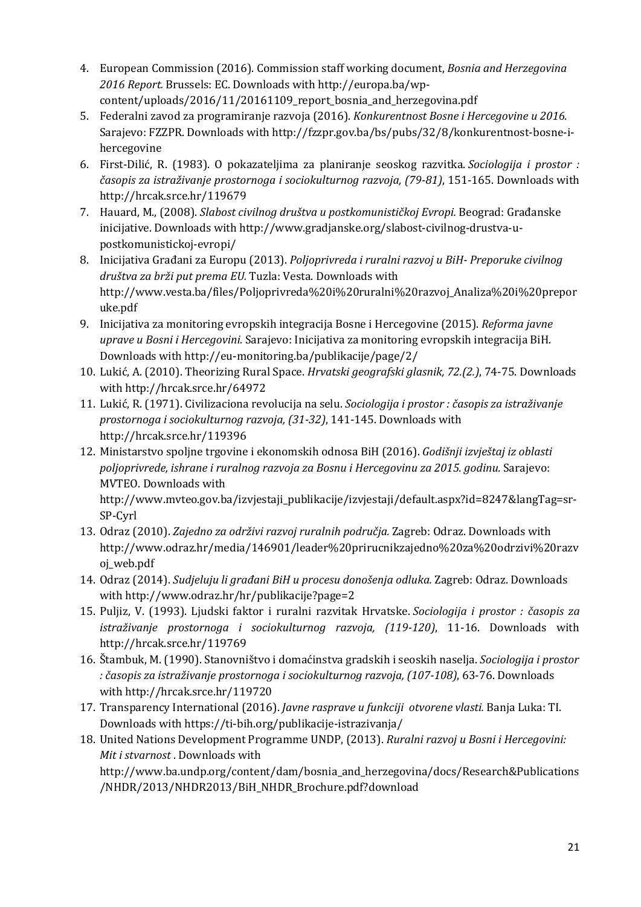- 4. European Commission (2016). Commission staff working document, *Bosnia and Herzegovina 2016 Report.* Brussels: EC. Downloads with http://europa.ba/wpcontent/uploads/2016/11/20161109\_report\_bosnia\_and\_herzegovina.pdf
- 5. Federalni zavod za programiranje razvoja (2016). *Konkurentnost Bosne i Hercegovine u 2016.* Sarajevo: FZZPR. Downloads with http://fzzpr.gov.ba/bs/pubs/32/8/konkurentnost-bosne-ihercegovine
- 6. First-Dilić, R. (1983). O pokazateljima za planiranje seoskog razvitka. *Sociologija i prostor : časopis za istraživanje prostornoga i sociokulturnog razvoja, (79-81)*, 151-165. Downloads with http://hrcak.srce.hr/119679
- 7. Hauard, M., (2008). *Slabost civilnog društva u postkomunističkoj Evropi.* Beograd: Građanske inicijative. Downloads with http://www.gradjanske.org/slabost-civilnog-drustva-upostkomunistickoj-evropi/
- 8. Inicijativa Građani za Europu (2013). *Poljoprivreda i ruralni razvoj u BiH- Preporuke civilnog društva za brži put prema EU.* Tuzla: Vesta. Downloads with http://www.vesta.ba/files/Poljoprivreda%20i%20ruralni%20razvoj\_Analiza%20i%20prepor uke.pdf
- 9. Inicijativa za monitoring evropskih integracija Bosne i Hercegovine (2015). *Reforma javne uprave u Bosni i Hercegovini.* Sarajevo: Inicijativa za monitoring evropskih integracija BiH. Downloads with http://eu-monitoring.ba/publikacije/page/2/
- 10. Lukić, A. (2010). Theorizing Rural Space. *Hrvatski geografski glasnik, 72.(2.)*, 74-75. Downloads with http://hrcak.srce.hr/64972
- 11. Lukić, R. (1971). Civilizaciona revolucija na selu. *Sociologija i prostor : časopis za istraživanje prostornoga i sociokulturnog razvoja, (31-32)*, 141-145. Downloads with http://hrcak.srce.hr/119396
- 12. Ministarstvo spoljne trgovine i ekonomskih odnosa BiH (2016). *Godišnji izvještaj iz oblasti poljoprivrede, ishrane i ruralnog razvoja za Bosnu i Hercegovinu za 2015. godinu.* Sarajevo: MVTEO. Downloads with http://www.mvteo.gov.ba/izvjestaji\_publikacije/izvjestaji/default.aspx?id=8247&langTag=sr-

SP-Cyrl

- 13. Odraz (2010). *Zajedno za održivi razvoj ruralnih područja.* Zagreb: Odraz. Downloads with http://www.odraz.hr/media/146901/leader%20prirucnikzajedno%20za%20odrzivi%20razv oj\_web.pdf
- 14. Odraz (2014). *Sudjeluju li građani BiH u procesu donošenja odluka.* Zagreb: Odraz. Downloads with http://www.odraz.hr/hr/publikacije?page=2
- 15. Puljiz, V. (1993). Ljudski faktor i ruralni razvitak Hrvatske. *Sociologija i prostor : časopis za istraživanje prostornoga i sociokulturnog razvoja, (119-120)*, 11-16. Downloads with http://hrcak.srce.hr/119769
- 16. Štambuk, M. (1990). Stanovništvo i domaćinstva gradskih i seoskih naselja. *Sociologija i prostor : časopis za istraživanje prostornoga i sociokulturnog razvoja, (107-108)*, 63-76. Downloads with http://hrcak.srce.hr/119720
- 17. Transparency International (2016). *Javne rasprave u funkciji otvorene vlasti.* Banja Luka: TI. Downloads with https://ti-bih.org/publikacije-istrazivanja/
- 18. United Nations Development Programme UNDP, (2013). *Ruralni razvoj u Bosni i Hercegovini: Mit i stvarnost* . Downloads with

http://www.ba.undp.org/content/dam/bosnia\_and\_herzegovina/docs/Research&Publications /NHDR/2013/NHDR2013/BiH\_NHDR\_Brochure.pdf?download